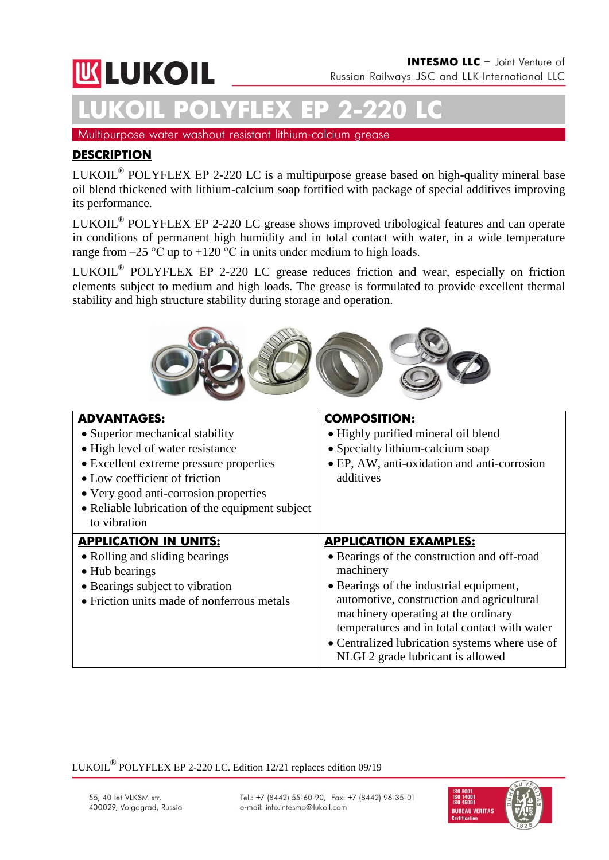# **UKLUKOIL**

# **LUKOIL POLYFLEX ЕР 2-220 LC**

Multipurpose water washout resistant lithium-calcium grease

# **DESCRIPTION**

LUKOIL<sup>®</sup> POLYFLEX EP 2-220 LC is a multipurpose grease based on high-quality mineral base oil blend thickened with lithium-calcium soap fortified with package of special additives improving its performance.

LUKOIL<sup>®</sup> POLYFLEX EP 2-220 LC grease shows improved tribological features and can operate in conditions of permanent high humidity and in total contact with water, in a wide temperature range from  $-25$  °C up to  $+120$  °C in units under medium to high loads.

LUKOIL<sup>®</sup> POLYFLEX EP 2-220 LC grease reduces friction and wear, especially on friction elements subject to medium and high loads. The grease is formulated to provide excellent thermal stability and high structure stability during storage and operation.



| <b>ADVANTAGES:</b><br>• Superior mechanical stability<br>• High level of water resistance<br>• Excellent extreme pressure properties<br>• Low coefficient of friction<br>• Very good anti-corrosion properties<br>• Reliable lubrication of the equipment subject<br>to vibration | <b>COMPOSITION:</b><br>• Highly purified mineral oil blend<br>• Specialty lithium-calcium soap<br>• EP, AW, anti-oxidation and anti-corrosion<br>additives                                                                                                                                                                                                     |
|-----------------------------------------------------------------------------------------------------------------------------------------------------------------------------------------------------------------------------------------------------------------------------------|----------------------------------------------------------------------------------------------------------------------------------------------------------------------------------------------------------------------------------------------------------------------------------------------------------------------------------------------------------------|
| <b>APPLICATION IN UNITS:</b><br>• Rolling and sliding bearings<br>• Hub bearings<br>• Bearings subject to vibration<br>• Friction units made of nonferrous metals                                                                                                                 | <b>APPLICATION EXAMPLES:</b><br>• Bearings of the construction and off-road<br>machinery<br>• Bearings of the industrial equipment,<br>automotive, construction and agricultural<br>machinery operating at the ordinary<br>temperatures and in total contact with water<br>• Centralized lubrication systems where use of<br>NLGI 2 grade lubricant is allowed |

LUKOIL $^{\circledR}$  POLYFLEX EP 2-220 LC. Edition 12/21 replaces edition 09/19